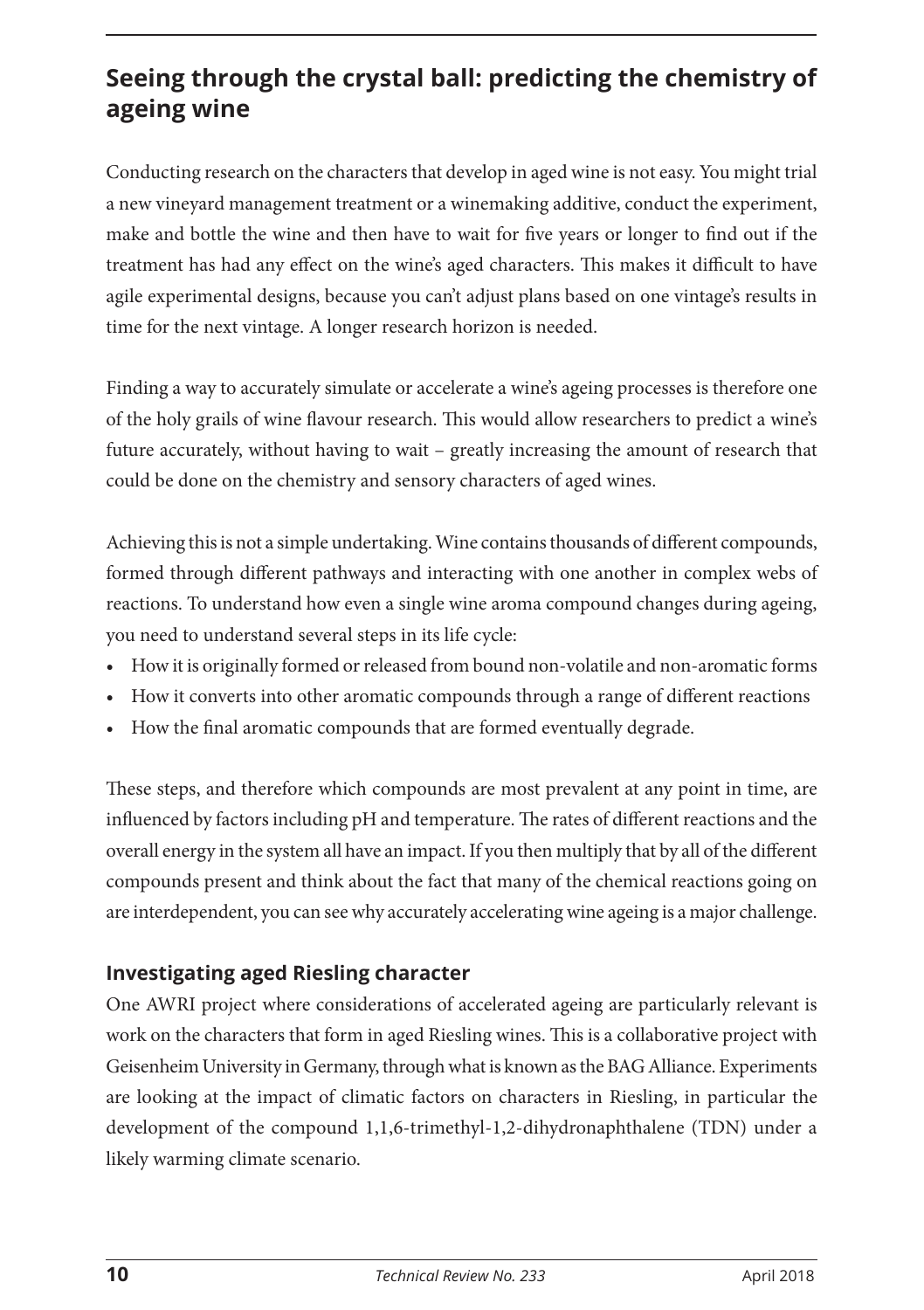## **Seeing through the crystal ball: predicting the chemistry of ageing wine**

Conducting research on the characters that develop in aged wine is not easy. You might trial a new vineyard management treatment or a winemaking additive, conduct the experiment, make and bottle the wine and then have to wait for five years or longer to find out if the treatment has had any effect on the wine's aged characters. This makes it difficult to have agile experimental designs, because you can't adjust plans based on one vintage's results in time for the next vintage. A longer research horizon is needed.

Finding a way to accurately simulate or accelerate a wine's ageing processes is therefore one of the holy grails of wine flavour research. This would allow researchers to predict a wine's future accurately, without having to wait – greatly increasing the amount of research that could be done on the chemistry and sensory characters of aged wines.

Achieving this is not a simple undertaking. Wine contains thousands of different compounds, formed through different pathways and interacting with one another in complex webs of reactions. To understand how even a single wine aroma compound changes during ageing, you need to understand several steps in its life cycle:

- How it is originally formed or released from bound non-volatile and non-aromatic forms
- How it converts into other aromatic compounds through a range of different reactions
- How the final aromatic compounds that are formed eventually degrade.

These steps, and therefore which compounds are most prevalent at any point in time, are influenced by factors including pH and temperature. The rates of different reactions and the overall energy in the system all have an impact. If you then multiply that by all of the different compounds present and think about the fact that many of the chemical reactions going on are interdependent, you can see why accurately accelerating wine ageing is a major challenge.

## **Investigating aged Riesling character**

One AWRI project where considerations of accelerated ageing are particularly relevant is work on the characters that form in aged Riesling wines. This is a collaborative project with Geisenheim University in Germany, through what is known as the BAG Alliance. Experiments are looking at the impact of climatic factors on characters in Riesling, in particular the development of the compound 1,1,6-trimethyl-1,2-dihydronaphthalene (TDN) under a likely warming climate scenario.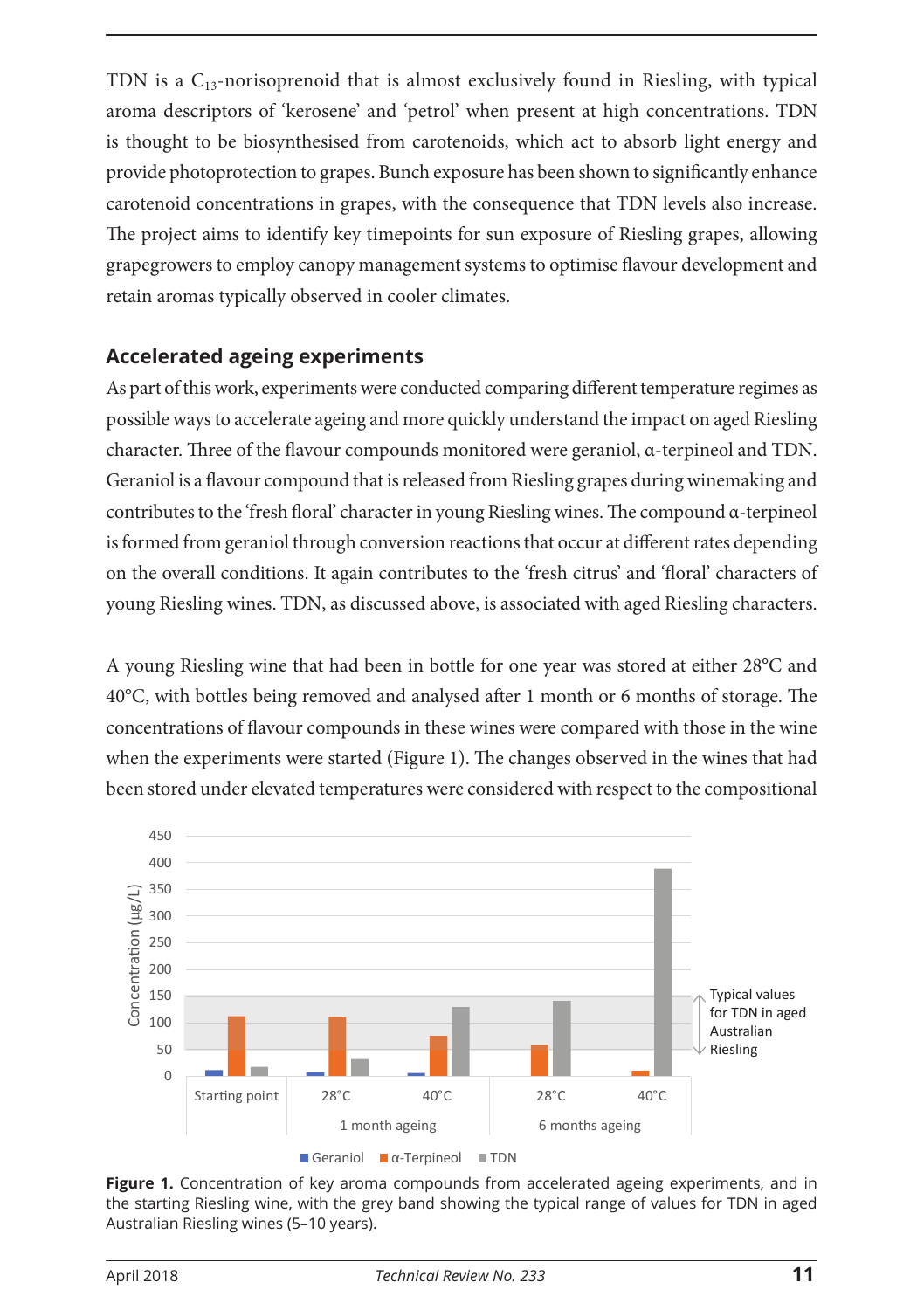TDN is a  $C_{13}$ -norisoprenoid that is almost exclusively found in Riesling, with typical aroma descriptors of 'kerosene' and 'petrol' when present at high concentrations. TDN is thought to be biosynthesised from carotenoids, which act to absorb light energy and provide photoprotection to grapes. Bunch exposure has been shown to significantly enhance carotenoid concentrations in grapes, with the consequence that TDN levels also increase. The project aims to identify key timepoints for sun exposure of Riesling grapes, allowing grapegrowers to employ canopy management systems to optimise flavour development and retain aromas typically observed in cooler climates.

## **Accelerated ageing experiments**

As part of this work, experiments were conducted comparing different temperature regimes as possible ways to accelerate ageing and more quickly understand the impact on aged Riesling character. Three of the flavour compounds monitored were geraniol, α-terpineol and TDN. Geraniol is a flavour compound that is released from Riesling grapes during winemaking and contributes to the 'fresh floral' character in young Riesling wines. The compound α-terpineol is formed from geraniol through conversion reactions that occur at different rates depending on the overall conditions. It again contributes to the 'fresh citrus' and 'floral' characters of young Riesling wines. TDN, as discussed above, is associated with aged Riesling characters.

A young Riesling wine that had been in bottle for one year was stored at either 28°C and 40°C, with bottles being removed and analysed after 1 month or 6 months of storage. The concentrations of flavour compounds in these wines were compared with those in the wine when the experiments were started (Figure 1). The changes observed in the wines that had been stored under elevated temperatures were considered with respect to the compositional



**Figure 1.** Concentration of key aroma compounds from accelerated ageing experiments, and in the starting Riesling wine, with the grey band showing the typical range of values for TDN in aged Australian Riesling wines (5–10 years).